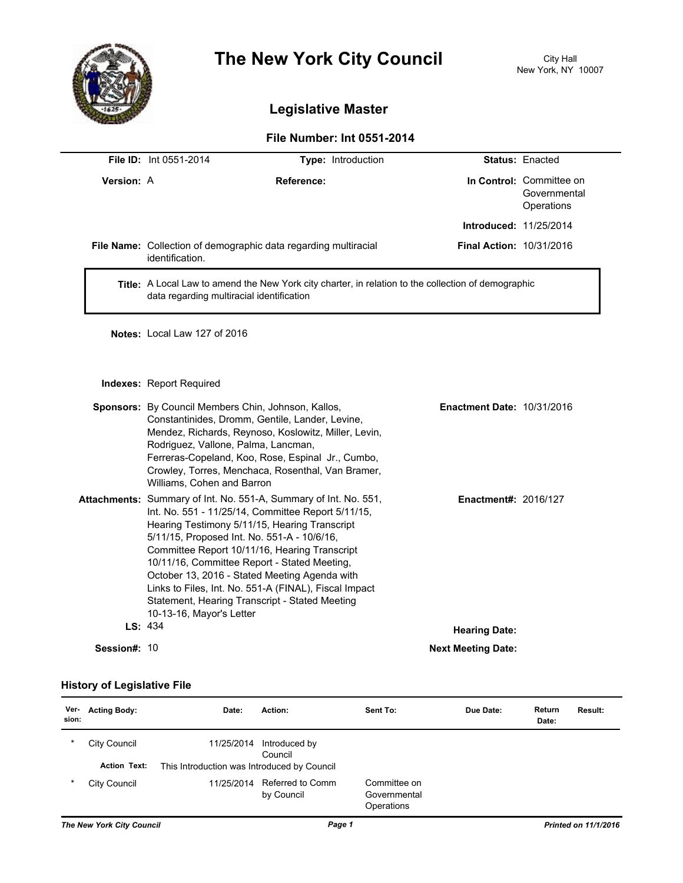

## **The New York City Council** City Hall

## **Legislative Master**

## **File Number: Int 0551-2014**

|            | <b>File ID: Int 0551-2014</b>                                                                                                                                                                                                                                                                                                                                                                                                                                                                                              | Type: Introduction                                                                                                                                                                                                |                                   | Status: Enacted                                        |  |  |
|------------|----------------------------------------------------------------------------------------------------------------------------------------------------------------------------------------------------------------------------------------------------------------------------------------------------------------------------------------------------------------------------------------------------------------------------------------------------------------------------------------------------------------------------|-------------------------------------------------------------------------------------------------------------------------------------------------------------------------------------------------------------------|-----------------------------------|--------------------------------------------------------|--|--|
| Version: A |                                                                                                                                                                                                                                                                                                                                                                                                                                                                                                                            | Reference:                                                                                                                                                                                                        |                                   | In Control: Committee on<br>Governmental<br>Operations |  |  |
|            |                                                                                                                                                                                                                                                                                                                                                                                                                                                                                                                            |                                                                                                                                                                                                                   | Introduced: 11/25/2014            |                                                        |  |  |
|            | identification.                                                                                                                                                                                                                                                                                                                                                                                                                                                                                                            | File Name: Collection of demographic data regarding multiracial                                                                                                                                                   |                                   | <b>Final Action: 10/31/2016</b>                        |  |  |
|            | Title: A Local Law to amend the New York city charter, in relation to the collection of demographic<br>data regarding multiracial identification                                                                                                                                                                                                                                                                                                                                                                           |                                                                                                                                                                                                                   |                                   |                                                        |  |  |
|            | Notes: Local Law 127 of 2016                                                                                                                                                                                                                                                                                                                                                                                                                                                                                               |                                                                                                                                                                                                                   |                                   |                                                        |  |  |
|            | Indexes: Report Required                                                                                                                                                                                                                                                                                                                                                                                                                                                                                                   |                                                                                                                                                                                                                   |                                   |                                                        |  |  |
|            | Sponsors: By Council Members Chin, Johnson, Kallos,<br>Rodriguez, Vallone, Palma, Lancman,<br>Williams, Cohen and Barron                                                                                                                                                                                                                                                                                                                                                                                                   | Constantinides, Dromm, Gentile, Lander, Levine,<br>Mendez, Richards, Reynoso, Koslowitz, Miller, Levin,<br>Ferreras-Copeland, Koo, Rose, Espinal Jr., Cumbo,<br>Crowley, Torres, Menchaca, Rosenthal, Van Bramer, | <b>Enactment Date: 10/31/2016</b> |                                                        |  |  |
|            | Attachments: Summary of Int. No. 551-A, Summary of Int. No. 551,<br>Int. No. 551 - 11/25/14, Committee Report 5/11/15,<br>Hearing Testimony 5/11/15, Hearing Transcript<br>5/11/15, Proposed Int. No. 551-A - 10/6/16,<br>Committee Report 10/11/16, Hearing Transcript<br>10/11/16, Committee Report - Stated Meeting,<br>October 13, 2016 - Stated Meeting Agenda with<br>Links to Files, Int. No. 551-A (FINAL), Fiscal Impact<br>Statement, Hearing Transcript - Stated Meeting<br>10-13-16, Mayor's Letter<br>LS: 434 |                                                                                                                                                                                                                   | <b>Enactment#: 2016/127</b>       |                                                        |  |  |
|            |                                                                                                                                                                                                                                                                                                                                                                                                                                                                                                                            |                                                                                                                                                                                                                   | <b>Hearing Date:</b>              |                                                        |  |  |

**Session#:** 10 **Next Meeting Date:** 

## **History of Legislative File**

| Ver-<br>sion: | <b>Acting Body:</b> | Date:                                       | Action:                        | Sent To:                                   | Due Date: | Return<br>Date: | <b>Result:</b> |
|---------------|---------------------|---------------------------------------------|--------------------------------|--------------------------------------------|-----------|-----------------|----------------|
| $\ast$        | City Council        | 11/25/2014                                  | Introduced by<br>Council       |                                            |           |                 |                |
|               | <b>Action Text:</b> | This Introduction was Introduced by Council |                                |                                            |           |                 |                |
| $\ast$        | City Council        | 11/25/2014                                  | Referred to Comm<br>by Council | Committee on<br>Governmental<br>Operations |           |                 |                |